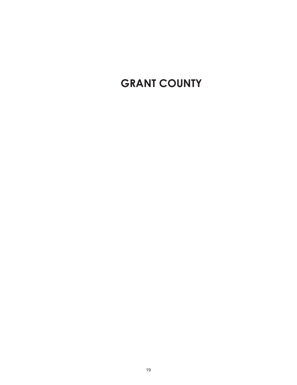# **GRANT COUNTY**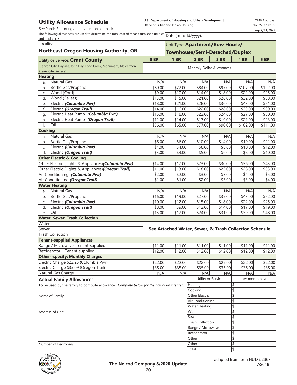### **Utility Allowance Schedule**

See Public Reporting and Instructions on back.

**U.S. Department of Housing and Urban Development**  Office of Public and Indian Housing

OMB Approval No. 25577-0169 exp.7/31/2022

٦

| The following allowances are used to determine the total cost of tenant-furnished utilities $\boxed{\text{Date (mm/dd/yyy)}}$ |  |
|-------------------------------------------------------------------------------------------------------------------------------|--|

| and appliances.                                                                           |                    |                    | $3000$ (11111) 00) $yyyy$ .                           |                |                                                        |                     |  |  |
|-------------------------------------------------------------------------------------------|--------------------|--------------------|-------------------------------------------------------|----------------|--------------------------------------------------------|---------------------|--|--|
| Locality:                                                                                 |                    |                    | Unit Type: Apartment/Row House/                       |                |                                                        |                     |  |  |
| <b>Northeast Oregon Housing Authority, OR</b>                                             |                    |                    | <b>Townhouse/Semi-Detached/Duplex</b>                 |                |                                                        |                     |  |  |
|                                                                                           |                    |                    |                                                       |                |                                                        |                     |  |  |
| Utility or Service: Grant County                                                          | 0 <sub>BR</sub>    | <b>1 BR</b>        | $2$ BR                                                | 3 BR           | 4 BR                                                   | <b>5 BR</b>         |  |  |
| (Canyon City, Dayville, John Day, Long Creek, Monument, Mt Vermon,                        |                    |                    | Monthly Dollar Allowances                             |                |                                                        |                     |  |  |
| Prairie City, Seneca)<br><b>Heating</b>                                                   |                    |                    |                                                       |                |                                                        |                     |  |  |
| <b>Natural Gas</b>                                                                        |                    |                    |                                                       |                |                                                        |                     |  |  |
| a.<br>Bottle Gas/Propane                                                                  | N/A<br>\$60.00     | N/A                | N/A<br>\$84.00                                        | N/A<br>\$97.00 | N/A                                                    | N/A                 |  |  |
| b.<br>Wood (Cord)<br>C.                                                                   | \$9.00             | \$72.00<br>\$10.00 | \$14.00                                               | \$18.00        | \$107.00<br>\$22.00                                    | \$122.00<br>\$25.00 |  |  |
| Wood (Pellets)<br>d.                                                                      | \$13.00            | \$15.00            | \$21.00                                               | \$26.00        | \$32.00                                                | \$38.00             |  |  |
| Electric (Columbia Pwr)<br>e.                                                             | \$18.00            | \$21.00            | \$28.00                                               | \$36.00        | \$43.00                                                | \$51.00             |  |  |
| Electric (Oregon Trail)<br>f.                                                             | \$14.00            | \$16.00            | \$22.00                                               | \$28.00        | \$33.00                                                | \$39.00             |  |  |
| Electric Heat Pump (Columbia Pwr)<br>g.                                                   | \$15.00            | \$18.00            | \$22.00                                               | \$24.00        | \$27.00                                                | \$30.00             |  |  |
| Electric Heat Pump (Oregon Trail)<br>h.                                                   | \$12.00            | \$14.00            | \$17.00                                               | \$19.00        | \$21.00                                                | \$23.00             |  |  |
| Oil<br>i.                                                                                 | \$56.00            | \$65.00            | \$77.00                                               | \$90.00        | \$102.00                                               | \$111.00            |  |  |
| Cooking                                                                                   |                    |                    |                                                       |                |                                                        |                     |  |  |
| <b>Natural Gas</b><br>a.                                                                  | N/A                | N/A                | N/A                                                   | N/A            | N/A                                                    | N/A                 |  |  |
| Bottle Gas/Propane<br>b.                                                                  | $\overline{$6.00}$ | \$6.00             | \$10.00                                               | \$14.00        | \$19.00                                                | \$21.00             |  |  |
| Electric (Columbia Pwr)<br>C.                                                             | \$4.00             | \$4.00             | \$6.00                                                | \$8.00         | \$10.00                                                | \$12.00             |  |  |
| Electric (Oregon Trail)<br>d.                                                             | \$3.00             | \$3.00             | \$5.00                                                | \$6.00         | \$8.00                                                 | \$10.00             |  |  |
| <b>Other Electric &amp; Cooling</b>                                                       |                    |                    |                                                       |                |                                                        |                     |  |  |
| Other Electric (Lights & Appliances) (Columbia Pwr)                                       | \$14.00            | \$17.00            | \$23.00                                               | \$30.00        | \$36.00                                                | \$43.00             |  |  |
| Other Electric (Lights & Appliances)(Oregon Trail)                                        | \$11.00            | \$13.00            | \$18.00                                               | \$23.00        | \$28.00                                                | \$33.00             |  |  |
| Air Conditioning (Columbia Pwr)                                                           | \$2.00             | \$2.00             | \$3.00                                                | \$3.00         | \$4.00                                                 | \$5.00              |  |  |
| Air Conditioning (Oregon Trail)                                                           | \$1.00             | \$1.00             | \$2.00                                                | \$3.00         | \$3.00                                                 | \$4.00              |  |  |
| <b>Water Heating</b>                                                                      |                    |                    |                                                       |                |                                                        |                     |  |  |
| <b>Natural Gas</b><br>a.                                                                  | N/A                | N/A                | N/A                                                   | N/A            | N/A                                                    | N/A                 |  |  |
| Bottle Gas/Propane<br>b.                                                                  | \$16.00            | \$19.00            | \$27.00                                               | \$35.00        | \$43.00                                                | \$52.00             |  |  |
| Electric (Columbia Pwr)<br>C.                                                             | \$10.00            | \$12.00            | \$15.00                                               | \$18.00        | \$22.00                                                | \$25.00             |  |  |
| Electric (Oregon Trail)<br>d.                                                             | \$8.00             | \$9.00             | \$12.00                                               | \$14.00        | \$17.00                                                | \$19.00             |  |  |
| Oil<br>e.                                                                                 | \$15.00            | \$17.00            | \$24.00                                               | \$31.00        | \$39.00                                                | \$48.00             |  |  |
| <b>Water, Sewer, Trash Collection</b>                                                     |                    |                    |                                                       |                |                                                        |                     |  |  |
| Water                                                                                     |                    |                    |                                                       |                |                                                        |                     |  |  |
| Sewer                                                                                     |                    |                    |                                                       |                | See Attached Water, Sewer, & Trash Collection Schedule |                     |  |  |
| <b>Trash Collection</b>                                                                   |                    |                    |                                                       |                |                                                        |                     |  |  |
| <b>Tenant-supplied Appliances</b>                                                         |                    |                    |                                                       |                |                                                        |                     |  |  |
| Range / Microwave Tenant-supplied                                                         | \$11.00            | \$11.00            | \$11.00                                               | \$11.00        | \$11.00                                                | \$11.00             |  |  |
| Refrigerator Tenant-supplied                                                              | \$12.00            | \$12.00            | \$12.00                                               | \$12.00        | \$12.00                                                | \$12.00             |  |  |
| <b>Other--specify: Monthly Charges</b>                                                    |                    |                    |                                                       |                |                                                        |                     |  |  |
| Electric Charge \$22.25 (Columbia Pwr)                                                    | \$22.00            | \$22.00            | \$22.00                                               | \$22.00        | \$22.00                                                | $\overline{$22.00}$ |  |  |
| Electric Charge \$35.09 (Oregon Trail)                                                    | \$35.00            | \$35.00            | \$35.00                                               | \$35.00        | \$35.00                                                | \$35.00             |  |  |
| Natural Gas Charge                                                                        | N/A                | N/A                | N/A                                                   | N/A            | N/A                                                    | N/A                 |  |  |
| <b>Actual Family Allowances</b>                                                           |                    |                    | Utility or Service                                    |                | per month cost                                         |                     |  |  |
| To be used by the family to compute allowance. Complete below for the actual unit rented. |                    |                    | Heating                                               |                | \$                                                     |                     |  |  |
|                                                                                           |                    |                    | Cooking                                               |                | \$                                                     |                     |  |  |
| Name of Family                                                                            |                    |                    | <b>Other Electric</b>                                 |                | \$                                                     |                     |  |  |
|                                                                                           |                    |                    | Air Conditioning                                      |                | \$                                                     |                     |  |  |
|                                                                                           |                    |                    | <b>Water Heating</b><br>\$                            |                |                                                        |                     |  |  |
| Address of Unit                                                                           |                    |                    | Water                                                 |                | \$                                                     |                     |  |  |
|                                                                                           |                    |                    | Sewer<br><b>Trash Collection</b><br>Range / Microwave |                | \$<br>\$                                               |                     |  |  |
|                                                                                           |                    |                    |                                                       |                | \$                                                     |                     |  |  |
|                                                                                           |                    |                    | Refrigerator                                          |                | \$                                                     |                     |  |  |
|                                                                                           |                    |                    | Other                                                 |                | \$                                                     |                     |  |  |
| Number of Bedrooms                                                                        |                    |                    | Other                                                 |                | \$                                                     |                     |  |  |
|                                                                                           |                    |                    | <b>Total</b>                                          |                | \$                                                     |                     |  |  |

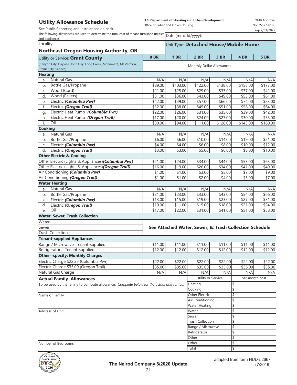### **Utility Allowance Schedule**

See Public Reporting and Instructions on back.

**U.S. Department of Housing and Urban Development**  Office of Public and Indian Housing

OMB Approval No. 25577-0169 exp.7/31/2022

٦

The following allowances are used to determine the total cost of tenant-furnished utilities  $\boxed{\text{Date (mm/dd/yyy)}}$ 

| and appliances.                                                                           |                           |                     | Date (min)uu/yyyy).                                    |                    |                |             |  |  |
|-------------------------------------------------------------------------------------------|---------------------------|---------------------|--------------------------------------------------------|--------------------|----------------|-------------|--|--|
| Locality:                                                                                 |                           |                     | Unit Type: Detached House/Mobile Home                  |                    |                |             |  |  |
| <b>Northeast Oregon Housing Authority, OR</b>                                             |                           |                     |                                                        |                    |                |             |  |  |
| Utility or Service: Grant County                                                          | 0 <sub>BR</sub>           | <b>1 BR</b>         | <b>2 BR</b>                                            | 3 BR               | 4 BR           | <b>5 BR</b> |  |  |
| (Canyon City, Dayville, John Day, Long Creek, Monument, Mt Vermon,                        |                           |                     |                                                        |                    |                |             |  |  |
| Prairie City, Seneca)                                                                     | Monthly Dollar Allowances |                     |                                                        |                    |                |             |  |  |
| <b>Heating</b>                                                                            |                           |                     |                                                        |                    |                |             |  |  |
| Natural Gas<br>a.                                                                         | N/A                       | N/A                 | N/A                                                    | N/A                | N/A            | N/A         |  |  |
| Bottle Gas/Propane<br>b.                                                                  | \$89.00                   | \$103.00            | $\overline{$122.00}$                                   | \$138.00           | \$155.00       | \$173.00    |  |  |
| Wood (Cord)<br>C.                                                                         | \$21.00                   | \$25.00             | \$29.00                                                | \$33.00            | \$37.00        | \$42.00     |  |  |
| Wood (Pellets)<br>d.                                                                      | \$31.00                   | \$36.00             | \$43.00                                                | \$49.00            | \$55.00        | \$61.00     |  |  |
| Electric (Columbia Pwr)<br>e.                                                             | \$42.00                   | \$49.00             | \$57.00                                                | \$66.00            | \$74.00        | \$83.00     |  |  |
| f.<br>Electric (Oregon Trail)                                                             | \$32.00                   | \$38.00             | \$45.00                                                | \$51.00            | \$58.00        | \$64.00     |  |  |
| Electric Heat Pump (Columbia Pwr)<br>g.                                                   | \$22.00                   | \$26.00             | \$31.00                                                | \$35.00            | \$39.00        | \$42.00     |  |  |
| Electric Heat Pump (Oregon Trail)<br>h.                                                   | \$17.00                   | \$20.00             | \$24.00                                                | \$27.00            | \$30.00        | \$33.00     |  |  |
| Oil<br>i.                                                                                 | \$80.00                   | \$94.00             | \$111.00                                               | \$128.00           | \$143.00       | \$160.00    |  |  |
| <b>Cooking</b>                                                                            |                           |                     |                                                        |                    |                |             |  |  |
| <b>Natural Gas</b><br>a.                                                                  | N/A                       | N/A                 | N/A                                                    | N/A                | N/A            | N/A         |  |  |
| b.<br>Bottle Gas/Propane                                                                  | \$6.00                    | \$6.00              | \$10.00                                                | \$14.00            | \$19.00        | \$21.00     |  |  |
| Electric (Columbia Pwr)<br>C.                                                             | \$4.00                    | \$4.00              | \$6.00                                                 | \$8.00             | \$10.00        | \$12.00     |  |  |
| Electric (Oregon Trail)<br>d.                                                             | \$3.00                    | \$3.00              | \$5.00                                                 | $\overline{$}6.00$ | \$8.00         | \$10.00     |  |  |
| <b>Other Electric &amp; Cooling</b>                                                       |                           |                     |                                                        |                    |                |             |  |  |
| Other Electric (Lights & Appliances)(Columbia Pwr)                                        | \$21.00                   | \$24.00             | \$34.00                                                | \$44.00            | \$53.00        | \$63.00     |  |  |
| Other Electric (Lights & Appliances)(Oregon Trail)                                        | \$16.00                   | \$19.00             | \$26.00                                                | \$34.00            | \$41.00        | \$49.00     |  |  |
| Air Conditioning (Columbia Pwr)                                                           | \$1.00                    | \$1.00              | \$3.00                                                 | \$5.00             | \$7.00         | \$9.00      |  |  |
| Air Conditioning (Oregon Trail)                                                           | \$1.00                    | \$1.00              | \$2.00                                                 | \$4.00             | \$5.00         | \$7.00      |  |  |
| <b>Water Heating</b>                                                                      |                           |                     |                                                        |                    |                |             |  |  |
| <b>Natural Gas</b><br>a.                                                                  | N/A                       | N/A                 | N/A                                                    | N/A                | N/A            | N/A         |  |  |
| b.<br>Bottle Gas/Propane                                                                  | $\overline{$}21.00$       | \$23.00             | \$33.00                                                | \$43.00            | \$54.00        | \$66.00     |  |  |
| Electric (Columbia Pwr)<br>C.                                                             | \$13.00                   | \$15.00             | \$19.00                                                | \$23.00            | \$27.00        | \$31.00     |  |  |
| d.<br>Electric (Oregon Trail)                                                             | \$10.00                   | $\overline{$}11.00$ | \$15.00                                                | \$18.00            | \$21.00        | \$24.00     |  |  |
| Oil<br>e.                                                                                 | \$17.00                   | $\overline{$}22.00$ | \$31.00                                                | \$41.00            | \$51.00        | \$58.00     |  |  |
| <b>Water, Sewer, Trash Collection</b>                                                     |                           |                     |                                                        |                    |                |             |  |  |
| Water                                                                                     |                           |                     |                                                        |                    |                |             |  |  |
| Sewer                                                                                     |                           |                     | See Attached Water, Sewer, & Trash Collection Schedule |                    |                |             |  |  |
| <b>Trash Collection</b>                                                                   |                           |                     |                                                        |                    |                |             |  |  |
| <b>Tenant-supplied Appliances</b>                                                         |                           |                     |                                                        |                    |                |             |  |  |
| Range / Microwave Tenant-supplied                                                         | \$11.00                   | \$11.00             | \$11.00                                                | \$11.00            | \$11.00        | \$11.00     |  |  |
| Refrigerator Tenant-supplied                                                              | \$12.00                   | \$12.00             | \$12.00                                                | \$12.00            | \$12.00        | \$12.00     |  |  |
| Other--specify: Monthly Charges                                                           |                           |                     |                                                        |                    |                |             |  |  |
| Electric Charge \$22.25 (Columbia Pwr)                                                    | \$22.00                   | \$22.00             | \$22.00                                                | \$22.00            | \$22.00        | \$22.00     |  |  |
| Electric Charge \$35.09 (Oregon Trail)                                                    | \$35.00                   | \$35.00             | \$35.00                                                | \$35.00            | \$35.00        | \$35.00     |  |  |
| Natural Gas Charge                                                                        | N/A                       | N/A                 | N/A                                                    | N/A                | N/A            | N/A         |  |  |
| <b>Actual Family Allowances</b>                                                           |                           |                     | Utility or Service                                     |                    | per month cost |             |  |  |
| To be used by the family to compute allowance. Complete below for the actual unit rented. |                           |                     | Heating                                                |                    | \$             |             |  |  |
|                                                                                           |                           |                     | Cooking<br>\$                                          |                    |                |             |  |  |
| Name of Family                                                                            |                           | Other Electric      |                                                        | \$                 |                |             |  |  |
|                                                                                           |                           |                     | Air Conditioning                                       |                    |                |             |  |  |
|                                                                                           |                           |                     | <b>Water Heating</b>                                   |                    | \$             |             |  |  |
| Address of Unit                                                                           |                           |                     |                                                        | \$<br>Water        |                |             |  |  |
|                                                                                           |                           |                     | Sewer                                                  |                    | \$             |             |  |  |
|                                                                                           |                           |                     | <b>Trash Collection</b>                                |                    | \$             |             |  |  |
|                                                                                           |                           |                     | Range / Microwave                                      |                    | \$             |             |  |  |
|                                                                                           |                           | Refrigerator        |                                                        | \$                 |                |             |  |  |
|                                                                                           |                           |                     | Other                                                  |                    | \$             |             |  |  |
| Number of Bedrooms                                                                        |                           |                     | Other                                                  |                    | \$             |             |  |  |
|                                                                                           |                           |                     | Total                                                  |                    |                |             |  |  |